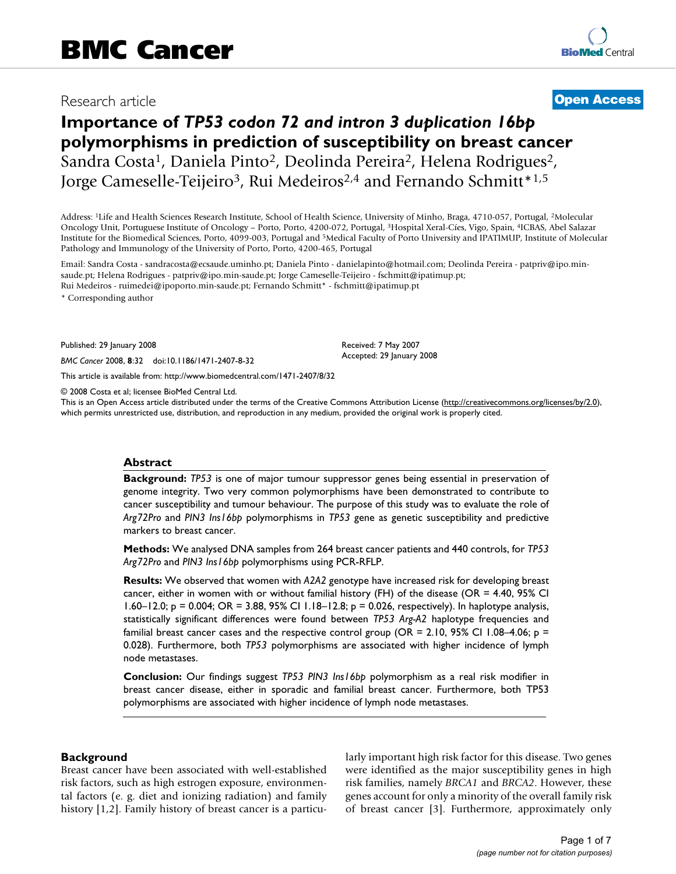# Research article **[Open Access](http://www.biomedcentral.com/info/about/charter/)**

# **Importance of** *TP53 codon 72 and intron 3 duplication 16bp*  **polymorphisms in prediction of susceptibility on breast cancer** Sandra Costa<sup>1</sup>, Daniela Pinto<sup>2</sup>, Deolinda Pereira<sup>2</sup>, Helena Rodrigues<sup>2</sup>, Jorge Cameselle-Teijeiro<sup>3</sup>, Rui Medeiros<sup>2,4</sup> and Fernando Schmitt<sup>\*1,5</sup>

Address: 1Life and Health Sciences Research Institute, School of Health Science, University of Minho, Braga, 4710-057, Portugal, 2Molecular Oncology Unit, Portuguese Institute of Oncology – Porto, Porto, 4200-072, Portugal, 3Hospital Xeral-Cíes, Vigo, Spain, 4ICBAS, Abel Salazar Institute for the Biomedical Sciences, Porto, 4099-003, Portugal and 5Medical Faculty of Porto University and IPATIMUP, Institute of Molecular Pathology and Immunology of the University of Porto, Porto, 4200-465, Portugal

Email: Sandra Costa - sandracosta@ecsaude.uminho.pt; Daniela Pinto - danielapinto@hotmail.com; Deolinda Pereira - patpriv@ipo.minsaude.pt; Helena Rodrigues - patpriv@ipo.min-saude.pt; Jorge Cameselle-Teijeiro - fschmitt@ipatimup.pt; Rui Medeiros - ruimedei@ipoporto.min-saude.pt; Fernando Schmitt\* - fschmitt@ipatimup.pt

\* Corresponding author

Published: 29 January 2008

*BMC Cancer* 2008, **8**:32 doi:10.1186/1471-2407-8-32

[This article is available from: http://www.biomedcentral.com/1471-2407/8/32](http://www.biomedcentral.com/1471-2407/8/32)

© 2008 Costa et al; licensee BioMed Central Ltd.

This is an Open Access article distributed under the terms of the Creative Commons Attribution License [\(http://creativecommons.org/licenses/by/2.0\)](http://creativecommons.org/licenses/by/2.0), which permits unrestricted use, distribution, and reproduction in any medium, provided the original work is properly cited.

Received: 7 May 2007 Accepted: 29 January 2008

#### **Abstract**

**Background:** *TP53* is one of major tumour suppressor genes being essential in preservation of genome integrity. Two very common polymorphisms have been demonstrated to contribute to cancer susceptibility and tumour behaviour. The purpose of this study was to evaluate the role of *Arg72Pro* and *PIN3 Ins16bp* polymorphisms in *TP53* gene as genetic susceptibility and predictive markers to breast cancer.

**Methods:** We analysed DNA samples from 264 breast cancer patients and 440 controls, for *TP53 Arg72Pro* and *PIN3 Ins16bp* polymorphisms using PCR-RFLP.

**Results:** We observed that women with *A2A2* genotype have increased risk for developing breast cancer, either in women with or without familial history (FH) of the disease (OR = 4.40, 95% CI 1.60–12.0;  $p = 0.004$ ; OR = 3.88, 95% CI 1.18–12.8;  $p = 0.026$ , respectively). In haplotype analysis, statistically significant differences were found between *TP53 Arg-A2* haplotype frequencies and familial breast cancer cases and the respective control group (OR = 2.10, 95% CI 1.08–4.06;  $p =$ 0.028). Furthermore, both *TP53* polymorphisms are associated with higher incidence of lymph node metastases.

**Conclusion:** Our findings suggest *TP53 PIN3 Ins16bp* polymorphism as a real risk modifier in breast cancer disease, either in sporadic and familial breast cancer. Furthermore, both TP53 polymorphisms are associated with higher incidence of lymph node metastases.

#### **Background**

Breast cancer have been associated with well-established risk factors, such as high estrogen exposure, environmental factors (e. g. diet and ionizing radiation) and family history [1,2]. Family history of breast cancer is a particularly important high risk factor for this disease. Two genes were identified as the major susceptibility genes in high risk families, namely *BRCA1* and *BRCA2*. However, these genes account for only a minority of the overall family risk of breast cancer [3]. Furthermore, approximately only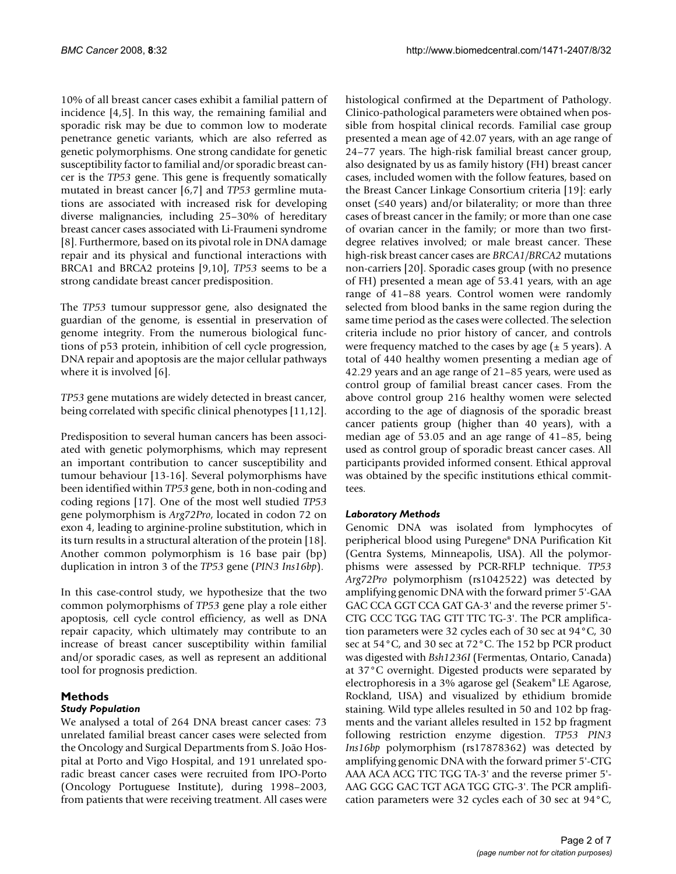10% of all breast cancer cases exhibit a familial pattern of incidence [4,5]. In this way, the remaining familial and sporadic risk may be due to common low to moderate penetrance genetic variants, which are also referred as genetic polymorphisms. One strong candidate for genetic susceptibility factor to familial and/or sporadic breast cancer is the *TP53* gene. This gene is frequently somatically mutated in breast cancer [6,7] and *TP53* germline mutations are associated with increased risk for developing diverse malignancies, including 25–30% of hereditary breast cancer cases associated with Li-Fraumeni syndrome [8]. Furthermore, based on its pivotal role in DNA damage repair and its physical and functional interactions with BRCA1 and BRCA2 proteins [9,10], *TP53* seems to be a strong candidate breast cancer predisposition.

The *TP53* tumour suppressor gene, also designated the guardian of the genome, is essential in preservation of genome integrity. From the numerous biological functions of p53 protein, inhibition of cell cycle progression, DNA repair and apoptosis are the major cellular pathways where it is involved [6].

*TP53* gene mutations are widely detected in breast cancer, being correlated with specific clinical phenotypes [11,12].

Predisposition to several human cancers has been associated with genetic polymorphisms, which may represent an important contribution to cancer susceptibility and tumour behaviour [13-16]. Several polymorphisms have been identified within *TP53* gene, both in non-coding and coding regions [17]. One of the most well studied *TP53* gene polymorphism is *Arg72Pro*, located in codon 72 on exon 4, leading to arginine-proline substitution, which in its turn results in a structural alteration of the protein [18]. Another common polymorphism is 16 base pair (bp) duplication in intron 3 of the *TP53* gene (*PIN3 Ins16bp*).

In this case-control study, we hypothesize that the two common polymorphisms of *TP53* gene play a role either apoptosis, cell cycle control efficiency, as well as DNA repair capacity, which ultimately may contribute to an increase of breast cancer susceptibility within familial and/or sporadic cases, as well as represent an additional tool for prognosis prediction.

#### **Methods**

#### *Study Population*

We analysed a total of 264 DNA breast cancer cases: 73 unrelated familial breast cancer cases were selected from the Oncology and Surgical Departments from S. João Hospital at Porto and Vigo Hospital, and 191 unrelated sporadic breast cancer cases were recruited from IPO-Porto (Oncology Portuguese Institute), during 1998–2003, from patients that were receiving treatment. All cases were histological confirmed at the Department of Pathology. Clinico-pathological parameters were obtained when possible from hospital clinical records. Familial case group presented a mean age of 42.07 years, with an age range of 24–77 years. The high-risk familial breast cancer group, also designated by us as family history (FH) breast cancer cases, included women with the follow features, based on the Breast Cancer Linkage Consortium criteria [19]: early onset (≤40 years) and/or bilaterality; or more than three cases of breast cancer in the family; or more than one case of ovarian cancer in the family; or more than two firstdegree relatives involved; or male breast cancer. These high-risk breast cancer cases are *BRCA1/BRCA2* mutations non-carriers [20]. Sporadic cases group (with no presence of FH) presented a mean age of 53.41 years, with an age range of 41–88 years. Control women were randomly selected from blood banks in the same region during the same time period as the cases were collected. The selection criteria include no prior history of cancer, and controls were frequency matched to the cases by age  $(\pm 5 \text{ years})$ . A total of 440 healthy women presenting a median age of 42.29 years and an age range of 21–85 years, were used as control group of familial breast cancer cases. From the above control group 216 healthy women were selected according to the age of diagnosis of the sporadic breast cancer patients group (higher than 40 years), with a median age of 53.05 and an age range of 41–85, being used as control group of sporadic breast cancer cases. All participants provided informed consent. Ethical approval was obtained by the specific institutions ethical committees.

#### *Laboratory Methods*

Genomic DNA was isolated from lymphocytes of peripherical blood using Puregene® DNA Purification Kit (Gentra Systems, Minneapolis, USA). All the polymorphisms were assessed by PCR-RFLP technique. *TP53 Arg72Pro* polymorphism (rs1042522) was detected by amplifying genomic DNA with the forward primer 5'-GAA GAC CCA GGT CCA GAT GA-3' and the reverse primer 5'- CTG CCC TGG TAG GTT TTC TG-3'. The PCR amplification parameters were 32 cycles each of 30 sec at 94°C, 30 sec at 54°C, and 30 sec at 72°C. The 152 bp PCR product was digested with *Bsh1236I* (Fermentas, Ontario, Canada) at 37°C overnight. Digested products were separated by electrophoresis in a 3% agarose gel (Seakem® LE Agarose, Rockland, USA) and visualized by ethidium bromide staining. Wild type alleles resulted in 50 and 102 bp fragments and the variant alleles resulted in 152 bp fragment following restriction enzyme digestion. *TP53 PIN3 Ins16bp* polymorphism (rs17878362) was detected by amplifying genomic DNA with the forward primer 5'-CTG AAA ACA ACG TTC TGG TA-3' and the reverse primer 5'- AAG GGG GAC TGT AGA TGG GTG-3'. The PCR amplification parameters were 32 cycles each of 30 sec at 94°C,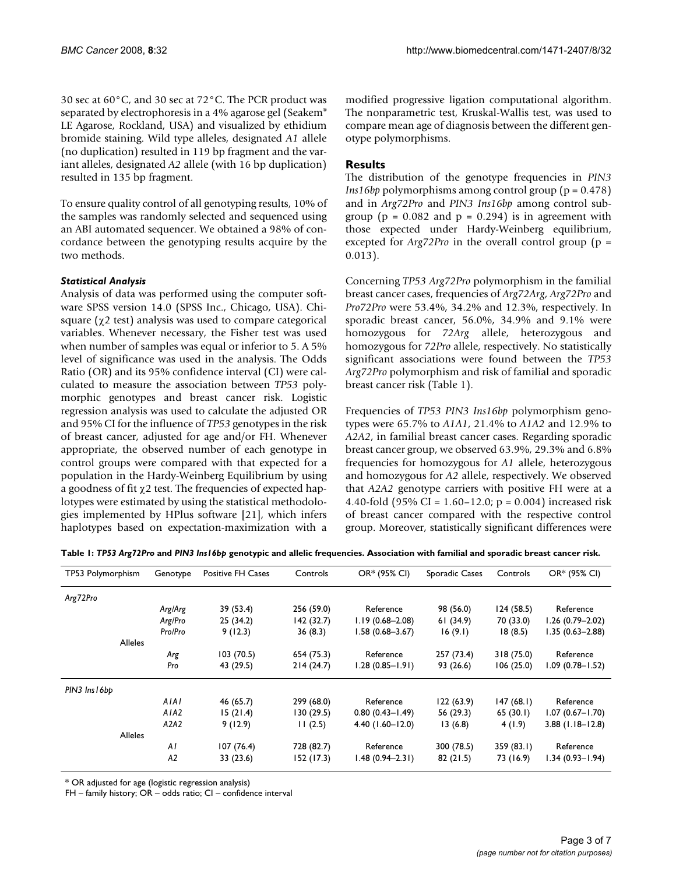30 sec at 60°C, and 30 sec at 72°C. The PCR product was separated by electrophoresis in a 4% agarose gel (Seakem® LE Agarose, Rockland, USA) and visualized by ethidium bromide staining. Wild type alleles, designated *A1* allele (no duplication) resulted in 119 bp fragment and the variant alleles, designated *A2* allele (with 16 bp duplication) resulted in 135 bp fragment.

To ensure quality control of all genotyping results, 10% of the samples was randomly selected and sequenced using an ABI automated sequencer. We obtained a 98% of concordance between the genotyping results acquire by the two methods.

#### *Statistical Analysis*

Analysis of data was performed using the computer software SPSS version 14.0 (SPSS Inc., Chicago, USA). Chisquare ( $\chi$ 2 test) analysis was used to compare categorical variables. Whenever necessary, the Fisher test was used when number of samples was equal or inferior to 5. A 5% level of significance was used in the analysis. The Odds Ratio (OR) and its 95% confidence interval (CI) were calculated to measure the association between *TP53* polymorphic genotypes and breast cancer risk. Logistic regression analysis was used to calculate the adjusted OR and 95% CI for the influence of *TP53* genotypes in the risk of breast cancer, adjusted for age and/or FH. Whenever appropriate, the observed number of each genotype in control groups were compared with that expected for a population in the Hardy-Weinberg Equilibrium by using a goodness of fit  $\chi$ 2 test. The frequencies of expected haplotypes were estimated by using the statistical methodologies implemented by HPlus software [21], which infers haplotypes based on expectation-maximization with a modified progressive ligation computational algorithm. The nonparametric test, Kruskal-Wallis test, was used to compare mean age of diagnosis between the different genotype polymorphisms.

#### **Results**

The distribution of the genotype frequencies in *PIN3 Ins16bp* polymorphisms among control group (p = 0.478) and in *Arg72Pro* and *PIN3 Ins16bp* among control subgroup ( $p = 0.082$  and  $p = 0.294$ ) is in agreement with those expected under Hardy-Weinberg equilibrium, excepted for *Arg72Pro* in the overall control group (p = 0.013).

Concerning *TP53 Arg72Pro* polymorphism in the familial breast cancer cases, frequencies of *Arg72Arg*, *Arg72Pro* and *Pro72Pro* were 53.4%, 34.2% and 12.3%, respectively. In sporadic breast cancer, 56.0%, 34.9% and 9.1% were homozygous for *72Arg* allele, heterozygous and homozygous for *72Pro* allele, respectively. No statistically significant associations were found between the *TP53 Arg72Pro* polymorphism and risk of familial and sporadic breast cancer risk (Table 1).

Frequencies of *TP53 PIN3 Ins16bp* polymorphism genotypes were 65.7% to *A1A1*, 21.4% to *A1A2* and 12.9% to *A2A2*, in familial breast cancer cases. Regarding sporadic breast cancer group, we observed 63.9%, 29.3% and 6.8% frequencies for homozygous for *A1* allele, heterozygous and homozygous for *A2* allele, respectively. We observed that *A2A2* genotype carriers with positive FH were at a 4.40-fold (95% CI = 1.60–12.0; p = 0.004) increased risk of breast cancer compared with the respective control group. Moreover, statistically significant differences were

| TP53 Polymorphism | Genotype | Positive FH Cases | Controls   | OR* (95% CI)        | Sporadic Cases | Controls  | OR* (95% CI)        |
|-------------------|----------|-------------------|------------|---------------------|----------------|-----------|---------------------|
| Arg72Pro          |          |                   |            |                     |                |           |                     |
|                   | Arg/Arg  | 39 (53.4)         | 256 (59.0) | Reference           | 98 (56.0)      | 124(58.5) | Reference           |
|                   | Arg/Pro  | 25 (34.2)         | 142(32.7)  | $1.19(0.68 - 2.08)$ | 61(34.9)       | 70 (33.0) | $1.26(0.79 - 2.02)$ |
|                   | Pro/Pro  | 9(12.3)           | 36(8.3)    | $1.58(0.68 - 3.67)$ | 16(9.1)        | 18(8.5)   | $1.35(0.63 - 2.88)$ |
| <b>Alleles</b>    |          |                   |            |                     |                |           |                     |
|                   | Arg      | 103(70.5)         | 654 (75.3) | Reference           | 257 (73.4)     | 318(75.0) | Reference           |
|                   | Pro      | 43 (29.5)         | 214(24.7)  | 1.28 (0.85-1.91)    | 93 (26.6)      | 106(25.0) | $1.09(0.78 - 1.52)$ |
| PIN3 Ins 16bb     |          |                   |            |                     |                |           |                     |
|                   | AIAI     | 46 (65.7)         | 299 (68.0) | Reference           | 122(63.9)      | 147(68.1) | Reference           |
|                   | AIA2     | 15(21.4)          | 130(29.5)  | $0.80(0.43 - 1.49)$ | 56 (29.3)      | 65(30.1)  | $1.07(0.67 - 1.70)$ |
|                   | A2A2     | 9(12.9)           | 11(2.5)    | $4.40$ (1.60-12.0)  | 13(6.8)        | 4(1.9)    | $3.88$ (1.18-12.8)  |
| <b>Alleles</b>    |          |                   |            |                     |                |           |                     |
|                   | AI       | 107(76.4)         | 728 (82.7) | Reference           | 300 (78.5)     | 359(83.1) | Reference           |
|                   | A2       | 33 (23.6)         | 152(17.3)  | $1.48(0.94 - 2.31)$ | 82(21.5)       | 73 (16.9) | $1.34(0.93 - 1.94)$ |

\* OR adjusted for age (logistic regression analysis)

FH – family history; OR – odds ratio; CI – confidence interval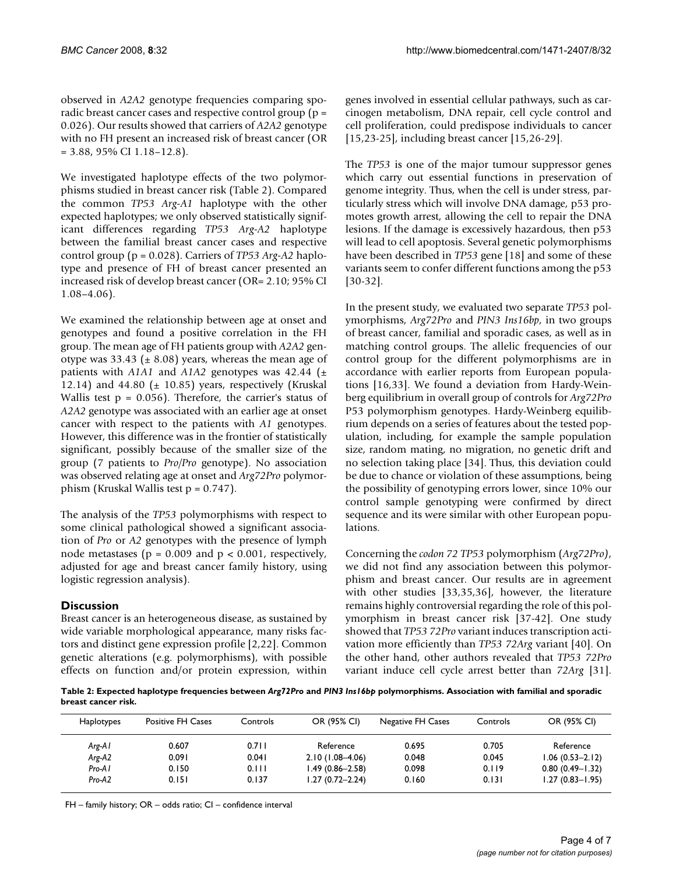observed in *A2A2* genotype frequencies comparing sporadic breast cancer cases and respective control group (p = 0.026). Our results showed that carriers of *A2A2* genotype with no FH present an increased risk of breast cancer (OR  $= 3.88, 95\% \text{ CI } 1.18 - 12.8$ .

We investigated haplotype effects of the two polymorphisms studied in breast cancer risk (Table 2). Compared the common *TP53 Arg-A1* haplotype with the other expected haplotypes; we only observed statistically significant differences regarding *TP53 Arg-A2* haplotype between the familial breast cancer cases and respective control group (p = 0.028). Carriers of *TP53 Arg-A2* haplotype and presence of FH of breast cancer presented an increased risk of develop breast cancer (OR= 2.10; 95% CI 1.08–4.06).

We examined the relationship between age at onset and genotypes and found a positive correlation in the FH group. The mean age of FH patients group with *A2A2* genotype was 33.43 ( $\pm$  8.08) years, whereas the mean age of patients with  $A1A1$  and  $A1A2$  genotypes was  $42.44$  ( $\pm$ 12.14) and 44.80 ( $\pm$  10.85) years, respectively (Kruskal Wallis test  $p = 0.056$ . Therefore, the carrier's status of *A2A2* genotype was associated with an earlier age at onset cancer with respect to the patients with *A1* genotypes. However, this difference was in the frontier of statistically significant, possibly because of the smaller size of the group (7 patients to *Pro/Pro* genotype). No association was observed relating age at onset and *Arg72Pro* polymorphism (Kruskal Wallis test p = 0.747).

The analysis of the *TP53* polymorphisms with respect to some clinical pathological showed a significant association of *Pro* or *A2* genotypes with the presence of lymph node metastases ( $p = 0.009$  and  $p < 0.001$ , respectively, adjusted for age and breast cancer family history, using logistic regression analysis).

# **Discussion**

Breast cancer is an heterogeneous disease, as sustained by wide variable morphological appearance, many risks factors and distinct gene expression profile [2,22]. Common genetic alterations (e.g. polymorphisms), with possible effects on function and/or protein expression, within genes involved in essential cellular pathways, such as carcinogen metabolism, DNA repair, cell cycle control and cell proliferation, could predispose individuals to cancer [15,23-25], including breast cancer [15,26-29].

The *TP53* is one of the major tumour suppressor genes which carry out essential functions in preservation of genome integrity. Thus, when the cell is under stress, particularly stress which will involve DNA damage, p53 promotes growth arrest, allowing the cell to repair the DNA lesions. If the damage is excessively hazardous, then p53 will lead to cell apoptosis. Several genetic polymorphisms have been described in *TP53* gene [18] and some of these variants seem to confer different functions among the p53 [30-32].

In the present study, we evaluated two separate *TP53* polymorphisms, *Arg72Pro* and *PIN3 Ins16bp*, in two groups of breast cancer, familial and sporadic cases, as well as in matching control groups. The allelic frequencies of our control group for the different polymorphisms are in accordance with earlier reports from European populations [16,33]. We found a deviation from Hardy-Weinberg equilibrium in overall group of controls for *Arg72Pro* P53 polymorphism genotypes. Hardy-Weinberg equilibrium depends on a series of features about the tested population, including, for example the sample population size, random mating, no migration, no genetic drift and no selection taking place [34]. Thus, this deviation could be due to chance or violation of these assumptions, being the possibility of genotyping errors lower, since 10% our control sample genotyping were confirmed by direct sequence and its were similar with other European populations.

Concerning the *codon 72 TP53* polymorphism (*Arg72Pro)*, we did not find any association between this polymorphism and breast cancer. Our results are in agreement with other studies [33,35,36], however, the literature remains highly controversial regarding the role of this polymorphism in breast cancer risk [37-42]. One study showed that *TP53 72Pro* variant induces transcription activation more efficiently than *TP53 72Arg* variant [40]. On the other hand, other authors revealed that *TP53 72Pro* variant induce cell cycle arrest better than *72Arg* [31].

**Table 2: Expected haplotype frequencies between** *Arg72Pro* **and** *PIN3 Ins16bp* **polymorphisms. Association with familial and sporadic breast cancer risk.**

| <b>Haplotypes</b> | <b>Positive FH Cases</b> | Controls | OR (95% CI)         | Negative FH Cases | Controls | OR (95% CI)         |
|-------------------|--------------------------|----------|---------------------|-------------------|----------|---------------------|
| Arg-A I           | 0.607                    | 0.711    | Reference           | 0.695             | 0.705    | Reference           |
| Arg-A2            | 0.091                    | 0.041    | $2.10(1.08 - 4.06)$ | 0.048             | 0.045    | $1.06(0.53 - 2.12)$ |
| Pro-A1            | 0.150                    | 0.111    | l.49 (0.86–2.58)    | 0.098             | 0.119    | $0.80(0.49 - 1.32)$ |
| Pro-A2            | 0.151                    | 0.137    | $1.27(0.72 - 2.24)$ | 0.160             | 0.131    | $1.27(0.83 - 1.95)$ |

FH – family history; OR – odds ratio; CI – confidence interval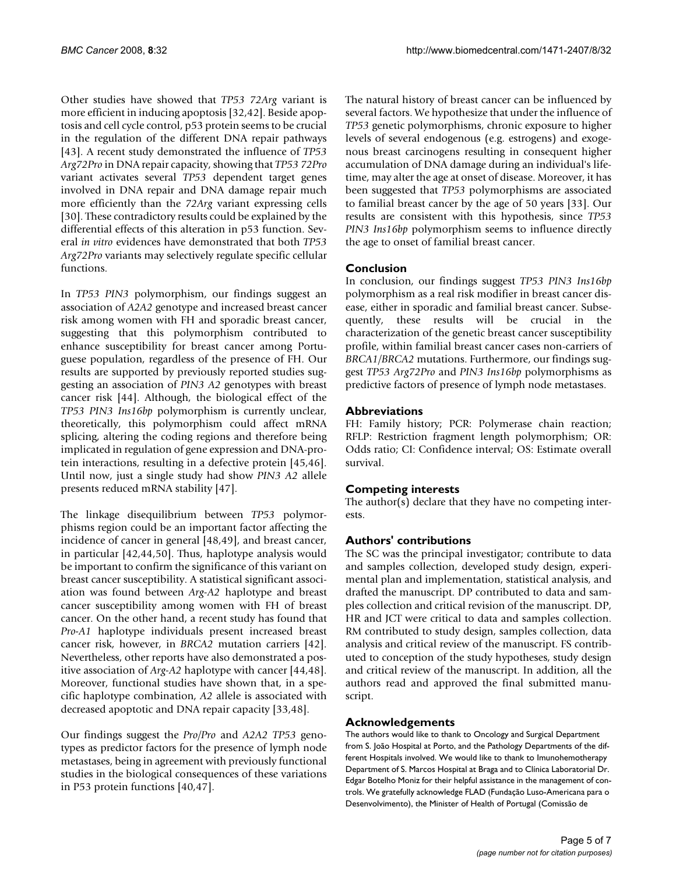Other studies have showed that *TP53 72Arg* variant is more efficient in inducing apoptosis [32,42]. Beside apoptosis and cell cycle control, p53 protein seems to be crucial in the regulation of the different DNA repair pathways [43]. A recent study demonstrated the influence of *TP53 Arg72Pro* in DNA repair capacity, showing that *TP53 72Pro* variant activates several *TP53* dependent target genes involved in DNA repair and DNA damage repair much more efficiently than the *72Arg* variant expressing cells [30]. These contradictory results could be explained by the differential effects of this alteration in p53 function. Several *in vitro* evidences have demonstrated that both *TP53 Arg72Pro* variants may selectively regulate specific cellular functions.

In *TP53 PIN3* polymorphism, our findings suggest an association of *A2A2* genotype and increased breast cancer risk among women with FH and sporadic breast cancer, suggesting that this polymorphism contributed to enhance susceptibility for breast cancer among Portuguese population, regardless of the presence of FH. Our results are supported by previously reported studies suggesting an association of *PIN3 A2* genotypes with breast cancer risk [44]. Although, the biological effect of the *TP53 PIN3 Ins16bp* polymorphism is currently unclear, theoretically, this polymorphism could affect mRNA splicing, altering the coding regions and therefore being implicated in regulation of gene expression and DNA-protein interactions, resulting in a defective protein [45,46]. Until now, just a single study had show *PIN3 A2* allele presents reduced mRNA stability [47].

The linkage disequilibrium between *TP53* polymorphisms region could be an important factor affecting the incidence of cancer in general [48,49], and breast cancer, in particular [42,44,50]. Thus, haplotype analysis would be important to confirm the significance of this variant on breast cancer susceptibility. A statistical significant association was found between *Arg-A2* haplotype and breast cancer susceptibility among women with FH of breast cancer. On the other hand, a recent study has found that *Pro-A1* haplotype individuals present increased breast cancer risk, however, in *BRCA2* mutation carriers [42]. Nevertheless, other reports have also demonstrated a positive association of *Arg-A2* haplotype with cancer [44,48]. Moreover, functional studies have shown that, in a specific haplotype combination, *A2* allele is associated with decreased apoptotic and DNA repair capacity [33,48].

Our findings suggest the *Pro/Pro* and *A2A2 TP53* genotypes as predictor factors for the presence of lymph node metastases, being in agreement with previously functional studies in the biological consequences of these variations in P53 protein functions [40,47].

The natural history of breast cancer can be influenced by several factors. We hypothesize that under the influence of *TP53* genetic polymorphisms, chronic exposure to higher levels of several endogenous (e.g. estrogens) and exogenous breast carcinogens resulting in consequent higher accumulation of DNA damage during an individual's lifetime, may alter the age at onset of disease. Moreover, it has been suggested that *TP53* polymorphisms are associated to familial breast cancer by the age of 50 years [33]. Our results are consistent with this hypothesis, since *TP53 PIN3 Ins16bp* polymorphism seems to influence directly the age to onset of familial breast cancer.

# **Conclusion**

In conclusion, our findings suggest *TP53 PIN3 Ins16bp* polymorphism as a real risk modifier in breast cancer disease, either in sporadic and familial breast cancer. Subsequently, these results will be crucial in the characterization of the genetic breast cancer susceptibility profile, within familial breast cancer cases non-carriers of *BRCA1/BRCA2* mutations. Furthermore, our findings suggest *TP53 Arg72Pro* and *PIN3 Ins16bp* polymorphisms as predictive factors of presence of lymph node metastases.

#### **Abbreviations**

FH: Family history; PCR: Polymerase chain reaction; RFLP: Restriction fragment length polymorphism; OR: Odds ratio; CI: Confidence interval; OS: Estimate overall survival.

# **Competing interests**

The author(s) declare that they have no competing interests.

# **Authors' contributions**

The SC was the principal investigator; contribute to data and samples collection, developed study design, experimental plan and implementation, statistical analysis, and drafted the manuscript. DP contributed to data and samples collection and critical revision of the manuscript. DP, HR and JCT were critical to data and samples collection. RM contributed to study design, samples collection, data analysis and critical review of the manuscript. FS contributed to conception of the study hypotheses, study design and critical review of the manuscript. In addition, all the authors read and approved the final submitted manuscript.

# **Acknowledgements**

The authors would like to thank to Oncology and Surgical Department from S. João Hospital at Porto, and the Pathology Departments of the different Hospitals involved. We would like to thank to Imunohemotherapy Department of S. Marcos Hospital at Braga and to Clínica Laboratorial Dr. Edgar Botelho Moniz for their helpful assistance in the management of controls. We gratefully acknowledge FLAD (Fundação Luso-Americana para o Desenvolvimento), the Minister of Health of Portugal (Comissão de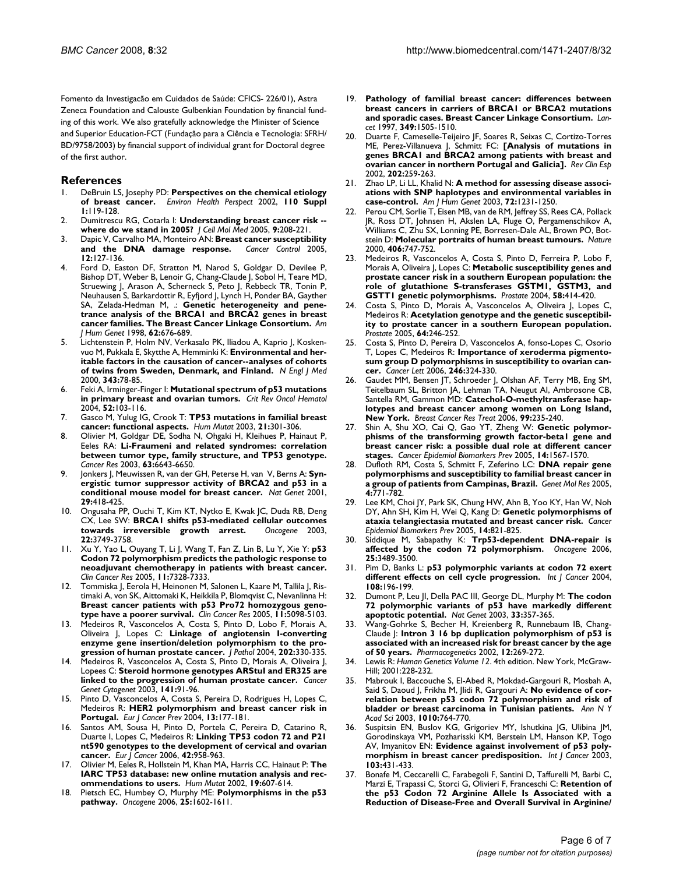Fomento da Investigacão em Cuidados de Saúde: CFICS- 226/01), Astra Zeneca Foundation and Calouste Gulbenkian Foundation by financial funding of this work. We also gratefully acknowledge the Minister of Science and Superior Education-FCT (Fundação para a Ciência e Tecnologia: SFRH/ BD/9758/2003) by financial support of individual grant for Doctoral degree of the first author.

#### **References**

- 1. DeBruin LS, Josephy PD: **[Perspectives on the chemical etiology](http://www.ncbi.nlm.nih.gov/entrez/query.fcgi?cmd=Retrieve&db=PubMed&dopt=Abstract&list_uids=11834470) [of breast cancer.](http://www.ncbi.nlm.nih.gov/entrez/query.fcgi?cmd=Retrieve&db=PubMed&dopt=Abstract&list_uids=11834470)** *Environ Health Perspect* 2002, **110 Suppl 1:**119-128.
- 2. Dumitrescu RG, Cotarla I: **[Understanding breast cancer risk -](http://www.ncbi.nlm.nih.gov/entrez/query.fcgi?cmd=Retrieve&db=PubMed&dopt=Abstract&list_uids=15784178) [where do we stand in 2005?](http://www.ncbi.nlm.nih.gov/entrez/query.fcgi?cmd=Retrieve&db=PubMed&dopt=Abstract&list_uids=15784178)** *J Cell Mol Med* 2005, **9:**208-221.
- 3. Dapic V, Carvalho MA, Monteiro AN: **[Breast cancer susceptibility](http://www.ncbi.nlm.nih.gov/entrez/query.fcgi?cmd=Retrieve&db=PubMed&dopt=Abstract&list_uids=15855896) [and the DNA damage response.](http://www.ncbi.nlm.nih.gov/entrez/query.fcgi?cmd=Retrieve&db=PubMed&dopt=Abstract&list_uids=15855896)** *Cancer Control* 2005, **12:**127-136.
- 4. Ford D, Easton DF, Stratton M, Narod S, Goldgar D, Devilee P, Bishop DT, Weber B, Lenoir G, Chang-Claude J, Sobol H, Teare MD, Struewing J, Arason A, Scherneck S, Peto J, Rebbeck TR, Tonin P, Neuhausen S, Barkardottir R, Eyfjord J, Lynch H, Ponder BA, Gayther SA, Zelada-Hedman M, .: **[Genetic heterogeneity and pene](http://www.ncbi.nlm.nih.gov/entrez/query.fcgi?cmd=Retrieve&db=PubMed&dopt=Abstract&list_uids=9497246)[trance analysis of the BRCA1 and BRCA2 genes in breast](http://www.ncbi.nlm.nih.gov/entrez/query.fcgi?cmd=Retrieve&db=PubMed&dopt=Abstract&list_uids=9497246) [cancer families. The Breast Cancer Linkage Consortium.](http://www.ncbi.nlm.nih.gov/entrez/query.fcgi?cmd=Retrieve&db=PubMed&dopt=Abstract&list_uids=9497246)** *Am J Hum Genet* 1998, **62:**676-689.
- Lichtenstein P, Holm NV, Verkasalo PK, Iliadou A, Kaprio J, Koskenvuo M, Pukkala E, Skytthe A, Hemminki K: **[Environmental and her](http://www.ncbi.nlm.nih.gov/entrez/query.fcgi?cmd=Retrieve&db=PubMed&dopt=Abstract&list_uids=10891514)[itable factors in the causation of cancer--analyses of cohorts](http://www.ncbi.nlm.nih.gov/entrez/query.fcgi?cmd=Retrieve&db=PubMed&dopt=Abstract&list_uids=10891514) [of twins from Sweden, Denmark, and Finland.](http://www.ncbi.nlm.nih.gov/entrez/query.fcgi?cmd=Retrieve&db=PubMed&dopt=Abstract&list_uids=10891514)** *N Engl J Med* 2000, **343:**78-85.
- 6. Feki A, Irminger-Finger I: **[Mutational spectrum of p53 mutations](http://www.ncbi.nlm.nih.gov/entrez/query.fcgi?cmd=Retrieve&db=PubMed&dopt=Abstract&list_uids=15501075) [in primary breast and ovarian tumors.](http://www.ncbi.nlm.nih.gov/entrez/query.fcgi?cmd=Retrieve&db=PubMed&dopt=Abstract&list_uids=15501075)** *Crit Rev Oncol Hematol* 2004, **52:**103-116.
- 7. Gasco M, Yulug IG, Crook T: **[TP53 mutations in familial breast](http://www.ncbi.nlm.nih.gov/entrez/query.fcgi?cmd=Retrieve&db=PubMed&dopt=Abstract&list_uids=12619116) [cancer: functional aspects.](http://www.ncbi.nlm.nih.gov/entrez/query.fcgi?cmd=Retrieve&db=PubMed&dopt=Abstract&list_uids=12619116)** *Hum Mutat* 2003, **21:**301-306.
- 8. Olivier M, Goldgar DE, Sodha N, Ohgaki H, Kleihues P, Hainaut P, Eeles RA: **[Li-Fraumeni and related syndromes: correlation](http://www.ncbi.nlm.nih.gov/entrez/query.fcgi?cmd=Retrieve&db=PubMed&dopt=Abstract&list_uids=14583457) [between tumor type, family structure, and TP53 genotype.](http://www.ncbi.nlm.nih.gov/entrez/query.fcgi?cmd=Retrieve&db=PubMed&dopt=Abstract&list_uids=14583457)** *Cancer Res* 2003, **63:**6643-6650.
- 9. Jonkers J, Meuwissen R, van der GH, Peterse H, van V, Berns A: **[Syn](http://www.ncbi.nlm.nih.gov/entrez/query.fcgi?cmd=Retrieve&db=PubMed&dopt=Abstract&list_uids=11694875)[ergistic tumor suppressor activity of BRCA2 and p53 in a](http://www.ncbi.nlm.nih.gov/entrez/query.fcgi?cmd=Retrieve&db=PubMed&dopt=Abstract&list_uids=11694875) [conditional mouse model for breast cancer.](http://www.ncbi.nlm.nih.gov/entrez/query.fcgi?cmd=Retrieve&db=PubMed&dopt=Abstract&list_uids=11694875)** *Nat Genet* 2001, **29:**418-425.
- 10. Ongusaha PP, Ouchi T, Kim KT, Nytko E, Kwak JC, Duda RB, Deng CX, Lee SW: **[BRCA1 shifts p53-mediated cellular outcomes](http://www.ncbi.nlm.nih.gov/entrez/query.fcgi?cmd=Retrieve&db=PubMed&dopt=Abstract&list_uids=12802282) [towards irreversible growth arrest.](http://www.ncbi.nlm.nih.gov/entrez/query.fcgi?cmd=Retrieve&db=PubMed&dopt=Abstract&list_uids=12802282)** *Oncogene* 2003, **22:**3749-3758.
- 11. Xu Y, Yao L, Ouyang T, Li J, Wang T, Fan Z, Lin B, Lu Y, Xie Y: **[p53](http://www.ncbi.nlm.nih.gov/entrez/query.fcgi?cmd=Retrieve&db=PubMed&dopt=Abstract&list_uids=16243804) Codon 72 polymorphism predicts the pathologic response to [neoadjuvant chemotherapy in patients with breast cancer.](http://www.ncbi.nlm.nih.gov/entrez/query.fcgi?cmd=Retrieve&db=PubMed&dopt=Abstract&list_uids=16243804)** *Clin Cancer Res* 2005, **11:**7328-7333.
- 12. Tommiska J, Eerola H, Heinonen M, Salonen L, Kaare M, Tallila J, Ristimaki A, von SK, Aittomaki K, Heikkila P, Blomqvist C, Nevanlinna H: **[Breast cancer patients with p53 Pro72 homozygous geno](http://www.ncbi.nlm.nih.gov/entrez/query.fcgi?cmd=Retrieve&db=PubMed&dopt=Abstract&list_uids=16033823)[type have a poorer survival.](http://www.ncbi.nlm.nih.gov/entrez/query.fcgi?cmd=Retrieve&db=PubMed&dopt=Abstract&list_uids=16033823)** *Clin Cancer Res* 2005, **11:**5098-5103.
- 13. Medeiros R, Vasconcelos A, Costa S, Pinto D, Lobo F, Morais A, Oliveira J, Lopes C: **[Linkage of angiotensin I-converting](http://www.ncbi.nlm.nih.gov/entrez/query.fcgi?cmd=Retrieve&db=PubMed&dopt=Abstract&list_uids=14991898) [enzyme gene insertion/deletion polymorphism to the pro](http://www.ncbi.nlm.nih.gov/entrez/query.fcgi?cmd=Retrieve&db=PubMed&dopt=Abstract&list_uids=14991898)[gression of human prostate cancer.](http://www.ncbi.nlm.nih.gov/entrez/query.fcgi?cmd=Retrieve&db=PubMed&dopt=Abstract&list_uids=14991898)** *J Pathol* 2004, **202:**330-335.
- 14. Medeiros R, Vasconcelos A, Costa S, Pinto D, Morais A, Oliveira J, Lopees C: **[Steroid hormone genotypes ARStuI and ER325 are](http://www.ncbi.nlm.nih.gov/entrez/query.fcgi?cmd=Retrieve&db=PubMed&dopt=Abstract&list_uids=12606125) [linked to the progression of human prostate cancer.](http://www.ncbi.nlm.nih.gov/entrez/query.fcgi?cmd=Retrieve&db=PubMed&dopt=Abstract&list_uids=12606125)** *Cancer Genet Cytogenet* 2003, **141:**91-96.
- 15. Pinto D, Vasconcelos A, Costa S, Pereira D, Rodrigues H, Lopes C, Medeiros R: **[HER2 polymorphism and breast cancer risk in](http://www.ncbi.nlm.nih.gov/entrez/query.fcgi?cmd=Retrieve&db=PubMed&dopt=Abstract&list_uids=15167216) [Portugal.](http://www.ncbi.nlm.nih.gov/entrez/query.fcgi?cmd=Retrieve&db=PubMed&dopt=Abstract&list_uids=15167216)** *Eur J Cancer Prev* 2004, **13:**177-181.
- 16. Santos AM, Sousa H, Pinto D, Portela C, Pereira D, Catarino R, Duarte I, Lopes C, Medeiros R: **[Linking TP53 codon 72 and P21](http://www.ncbi.nlm.nih.gov/entrez/query.fcgi?cmd=Retrieve&db=PubMed&dopt=Abstract&list_uids=16542834) [nt590 genotypes to the development of cervical and ovarian](http://www.ncbi.nlm.nih.gov/entrez/query.fcgi?cmd=Retrieve&db=PubMed&dopt=Abstract&list_uids=16542834) [cancer.](http://www.ncbi.nlm.nih.gov/entrez/query.fcgi?cmd=Retrieve&db=PubMed&dopt=Abstract&list_uids=16542834)** *Eur J Cancer* 2006, **42:**958-963.
- 17. Olivier M, Eeles R, Hollstein M, Khan MA, Harris CC, Hainaut P: **[The](http://www.ncbi.nlm.nih.gov/entrez/query.fcgi?cmd=Retrieve&db=PubMed&dopt=Abstract&list_uids=12007217) [IARC TP53 database: new online mutation analysis and rec](http://www.ncbi.nlm.nih.gov/entrez/query.fcgi?cmd=Retrieve&db=PubMed&dopt=Abstract&list_uids=12007217)[ommendations to users.](http://www.ncbi.nlm.nih.gov/entrez/query.fcgi?cmd=Retrieve&db=PubMed&dopt=Abstract&list_uids=12007217)** *Hum Mutat* 2002, **19:**607-614.
- 18. Pietsch EC, Humbey O, Murphy ME: **[Polymorphisms in the p53](http://www.ncbi.nlm.nih.gov/entrez/query.fcgi?cmd=Retrieve&db=PubMed&dopt=Abstract&list_uids=16550160) [pathway.](http://www.ncbi.nlm.nih.gov/entrez/query.fcgi?cmd=Retrieve&db=PubMed&dopt=Abstract&list_uids=16550160)** *Oncogene* 2006, **25:**1602-1611.
- 19. **[Pathology of familial breast cancer: differences between](http://www.ncbi.nlm.nih.gov/entrez/query.fcgi?cmd=Retrieve&db=PubMed&dopt=Abstract&list_uids=9167459) [breast cancers in carriers of BRCA1 or BRCA2 mutations](http://www.ncbi.nlm.nih.gov/entrez/query.fcgi?cmd=Retrieve&db=PubMed&dopt=Abstract&list_uids=9167459) [and sporadic cases. Breast Cancer Linkage Consortium.](http://www.ncbi.nlm.nih.gov/entrez/query.fcgi?cmd=Retrieve&db=PubMed&dopt=Abstract&list_uids=9167459)** *Lancet* 1997, **349:**1505-1510.
- 20. Duarte F, Cameselle-Teijeiro JF, Soares R, Seixas C, Cortizo-Torres ME, Perez-Villanueva J, Schmitt FC: **[\[Analysis of mutations in](http://www.ncbi.nlm.nih.gov/entrez/query.fcgi?cmd=Retrieve&db=PubMed&dopt=Abstract&list_uids=12060539) [genes BRCA1 and BRCA2 among patients with breast and](http://www.ncbi.nlm.nih.gov/entrez/query.fcgi?cmd=Retrieve&db=PubMed&dopt=Abstract&list_uids=12060539) [ovarian cancer in northern Portugal and Galicia\].](http://www.ncbi.nlm.nih.gov/entrez/query.fcgi?cmd=Retrieve&db=PubMed&dopt=Abstract&list_uids=12060539)** *Rev Clin Esp* 2002, **202:**259-263.
- 21. Zhao LP, Li LL, Khalid N: **[A method for assessing disease associ](http://www.ncbi.nlm.nih.gov/entrez/query.fcgi?cmd=Retrieve&db=PubMed&dopt=Abstract&list_uids=12704570)[ations with SNP haplotypes and environmental variables in](http://www.ncbi.nlm.nih.gov/entrez/query.fcgi?cmd=Retrieve&db=PubMed&dopt=Abstract&list_uids=12704570) [case-control.](http://www.ncbi.nlm.nih.gov/entrez/query.fcgi?cmd=Retrieve&db=PubMed&dopt=Abstract&list_uids=12704570)** *Am J Hum Genet* 2003, **72:**1231-1250.
- 22. Perou CM, Sorlie T, Eisen MB, van de RM, Jeffrey SS, Rees CA, Pollack JR, Ross DT, Johnsen H, Akslen LA, Fluge O, Pergamenschikov A, Williams C, Zhu SX, Lonning PE, Borresen-Dale AL, Brown PO, Botstein D: **[Molecular portraits of human breast tumours.](http://www.ncbi.nlm.nih.gov/entrez/query.fcgi?cmd=Retrieve&db=PubMed&dopt=Abstract&list_uids=10963602)** *Nature* 2000, **406:**747-752.
- 23. Medeiros R, Vasconcelos A, Costa S, Pinto D, Ferreira P, Lobo F, Morais A, Oliveira J, Lopes C: **[Metabolic susceptibility genes and](http://www.ncbi.nlm.nih.gov/entrez/query.fcgi?cmd=Retrieve&db=PubMed&dopt=Abstract&list_uids=14968442) prostate cancer risk in a southern European population: the [role of glutathione S-transferases GSTM1, GSTM3, and](http://www.ncbi.nlm.nih.gov/entrez/query.fcgi?cmd=Retrieve&db=PubMed&dopt=Abstract&list_uids=14968442) [GSTT1 genetic polymorphisms.](http://www.ncbi.nlm.nih.gov/entrez/query.fcgi?cmd=Retrieve&db=PubMed&dopt=Abstract&list_uids=14968442)** *Prostate* 2004, **58:**414-420.
- 24. Costa S, Pinto D, Morais A, Vasconcelos A, Oliveira J, Lopes C, Medeiros R: **[Acetylation genotype and the genetic susceptibil](http://www.ncbi.nlm.nih.gov/entrez/query.fcgi?cmd=Retrieve&db=PubMed&dopt=Abstract&list_uids=15717312)[ity to prostate cancer in a southern European population.](http://www.ncbi.nlm.nih.gov/entrez/query.fcgi?cmd=Retrieve&db=PubMed&dopt=Abstract&list_uids=15717312)** *Prostate* 2005, **64:**246-252.
- Costa S, Pinto D, Pereira D, Vasconcelos A, fonso-Lopes C, Osorio T, Lopes C, Medeiros R: **[Importance of xeroderma pigmento](http://www.ncbi.nlm.nih.gov/entrez/query.fcgi?cmd=Retrieve&db=PubMed&dopt=Abstract&list_uids=16677755)[sum group D polymorphisms in susceptibility to ovarian can](http://www.ncbi.nlm.nih.gov/entrez/query.fcgi?cmd=Retrieve&db=PubMed&dopt=Abstract&list_uids=16677755)[cer.](http://www.ncbi.nlm.nih.gov/entrez/query.fcgi?cmd=Retrieve&db=PubMed&dopt=Abstract&list_uids=16677755)** *Cancer Lett* 2006, **246:**324-330.
- 26. Gaudet MM, Bensen JT, Schroeder J, Olshan AF, Terry MB, Eng SM, Teitelbaum SL, Britton JA, Lehman TA, Neugut AI, Ambrosone CB, Santella RM, Gammon MD: **[Catechol-O-methyltransferase hap](http://www.ncbi.nlm.nih.gov/entrez/query.fcgi?cmd=Retrieve&db=PubMed&dopt=Abstract&list_uids=16596327)[lotypes and breast cancer among women on Long Island,](http://www.ncbi.nlm.nih.gov/entrez/query.fcgi?cmd=Retrieve&db=PubMed&dopt=Abstract&list_uids=16596327) [New York.](http://www.ncbi.nlm.nih.gov/entrez/query.fcgi?cmd=Retrieve&db=PubMed&dopt=Abstract&list_uids=16596327)** *Breast Cancer Res Treat* 2006, **99:**235-240.
- 27. Shin A, Shu XO, Cai Q, Gao YT, Zheng W: **[Genetic polymor](http://www.ncbi.nlm.nih.gov/entrez/query.fcgi?cmd=Retrieve&db=PubMed&dopt=Abstract&list_uids=15941974)phisms of the transforming growth factor-beta1 gene and [breast cancer risk: a possible dual role at different cancer](http://www.ncbi.nlm.nih.gov/entrez/query.fcgi?cmd=Retrieve&db=PubMed&dopt=Abstract&list_uids=15941974) [stages.](http://www.ncbi.nlm.nih.gov/entrez/query.fcgi?cmd=Retrieve&db=PubMed&dopt=Abstract&list_uids=15941974)** *Cancer Epidemiol Biomarkers Prev* 2005, **14:**1567-1570.
- 28. Dufloth RM, Costa S, Schmitt F, Zeferino LC: **[DNA repair gene](http://www.ncbi.nlm.nih.gov/entrez/query.fcgi?cmd=Retrieve&db=PubMed&dopt=Abstract&list_uids=16475125) [polymorphisms and susceptibility to familial breast cancer in](http://www.ncbi.nlm.nih.gov/entrez/query.fcgi?cmd=Retrieve&db=PubMed&dopt=Abstract&list_uids=16475125) [a group of patients from Campinas, Brazil.](http://www.ncbi.nlm.nih.gov/entrez/query.fcgi?cmd=Retrieve&db=PubMed&dopt=Abstract&list_uids=16475125)** *Genet Mol Res* 2005, **4:**771-782.
- 29. Lee KM, Choi JY, Park SK, Chung HW, Ahn B, Yoo KY, Han W, Noh DY, Ahn SH, Kim H, Wei Q, Kang D: **[Genetic polymorphisms of](http://www.ncbi.nlm.nih.gov/entrez/query.fcgi?cmd=Retrieve&db=PubMed&dopt=Abstract&list_uids=15824150) [ataxia telangiectasia mutated and breast cancer risk.](http://www.ncbi.nlm.nih.gov/entrez/query.fcgi?cmd=Retrieve&db=PubMed&dopt=Abstract&list_uids=15824150)** *Cancer Epidemiol Biomarkers Prev* 2005, **14:**821-825.
- 30. Siddique M, Sabapathy K: **[Trp53-dependent DNA-repair is](http://www.ncbi.nlm.nih.gov/entrez/query.fcgi?cmd=Retrieve&db=PubMed&dopt=Abstract&list_uids=16462765) [affected by the codon 72 polymorphism.](http://www.ncbi.nlm.nih.gov/entrez/query.fcgi?cmd=Retrieve&db=PubMed&dopt=Abstract&list_uids=16462765)** *Oncogene* 2006, **25:**3489-3500.
- 31. Pim D, Banks L: **[p53 polymorphic variants at codon 72 exert](http://www.ncbi.nlm.nih.gov/entrez/query.fcgi?cmd=Retrieve&db=PubMed&dopt=Abstract&list_uids=14639602) [different effects on cell cycle progression.](http://www.ncbi.nlm.nih.gov/entrez/query.fcgi?cmd=Retrieve&db=PubMed&dopt=Abstract&list_uids=14639602)** *Int J Cancer* 2004, **108:**196-199.
- 32. Dumont P, Leu JI, Della PAC III, George DL, Murphy M: **[The codon](http://www.ncbi.nlm.nih.gov/entrez/query.fcgi?cmd=Retrieve&db=PubMed&dopt=Abstract&list_uids=12567188) [72 polymorphic variants of p53 have markedly different](http://www.ncbi.nlm.nih.gov/entrez/query.fcgi?cmd=Retrieve&db=PubMed&dopt=Abstract&list_uids=12567188) [apoptotic potential.](http://www.ncbi.nlm.nih.gov/entrez/query.fcgi?cmd=Retrieve&db=PubMed&dopt=Abstract&list_uids=12567188)** *Nat Genet* 2003, **33:**357-365.
- 33. Wang-Gohrke S, Becher H, Kreienberg R, Runnebaum IB, Chang-Claude J: **[Intron 3 16 bp duplication polymorphism of p53 is](http://www.ncbi.nlm.nih.gov/entrez/query.fcgi?cmd=Retrieve&db=PubMed&dopt=Abstract&list_uids=11927843) [associated with an increased risk for breast cancer by the age](http://www.ncbi.nlm.nih.gov/entrez/query.fcgi?cmd=Retrieve&db=PubMed&dopt=Abstract&list_uids=11927843) [of 50 years.](http://www.ncbi.nlm.nih.gov/entrez/query.fcgi?cmd=Retrieve&db=PubMed&dopt=Abstract&list_uids=11927843)** *Pharmacogenetics* 2002, **12:**269-272.
- 34. Lewis R: *Human Genetics Volume 12*. 4th edition. New York, McGraw-Hill; 2001:228-232.
- Mabrouk I, Baccouche S, El-Abed R, Mokdad-Gargouri R, Mosbah A, Said S, Daoud J, Frikha M, Jlidi R, Gargouri A: **[No evidence of cor](http://www.ncbi.nlm.nih.gov/entrez/query.fcgi?cmd=Retrieve&db=PubMed&dopt=Abstract&list_uids=15033824)[relation between p53 codon 72 polymorphism and risk of](http://www.ncbi.nlm.nih.gov/entrez/query.fcgi?cmd=Retrieve&db=PubMed&dopt=Abstract&list_uids=15033824) [bladder or breast carcinoma in Tunisian patients.](http://www.ncbi.nlm.nih.gov/entrez/query.fcgi?cmd=Retrieve&db=PubMed&dopt=Abstract&list_uids=15033824)** *Ann N Y Acad Sci* 2003, **1010:**764-770.
- Suspitsin EN, Buslov KG, Grigoriev MY, Ishutkina JG, Ulibina JM, Gorodinskaya VM, Pozharisski KM, Berstein LM, Hanson KP, Togo AV, Imyanitov EN: **[Evidence against involvement of p53 poly](http://www.ncbi.nlm.nih.gov/entrez/query.fcgi?cmd=Retrieve&db=PubMed&dopt=Abstract&list_uids=12471629)[morphism in breast cancer predisposition.](http://www.ncbi.nlm.nih.gov/entrez/query.fcgi?cmd=Retrieve&db=PubMed&dopt=Abstract&list_uids=12471629)** *Int J Cancer* 2003, **103:**431-433.
- 37. Bonafe M, Ceccarelli C, Farabegoli F, Santini D, Taffurelli M, Barbi C, Marzi E, Trapassi C, Storci G, Olivieri F, Franceschi C: **[Retention of](http://www.ncbi.nlm.nih.gov/entrez/query.fcgi?cmd=Retrieve&db=PubMed&dopt=Abstract&list_uids=14581358) [the p53 Codon 72 Arginine Allele Is Associated with a](http://www.ncbi.nlm.nih.gov/entrez/query.fcgi?cmd=Retrieve&db=PubMed&dopt=Abstract&list_uids=14581358) [Reduction of Disease-Free and Overall Survival in Arginine/](http://www.ncbi.nlm.nih.gov/entrez/query.fcgi?cmd=Retrieve&db=PubMed&dopt=Abstract&list_uids=14581358)**